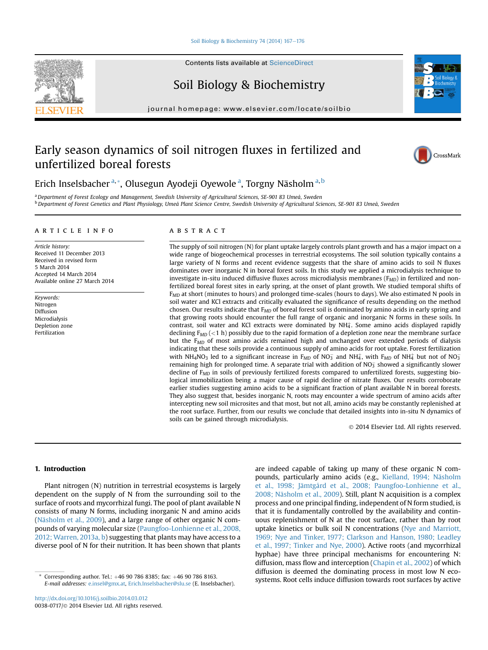#### [Soil Biology & Biochemistry 74 \(2014\) 167](http://dx.doi.org/10.1016/j.soilbio.2014.03.012)-[176](http://dx.doi.org/10.1016/j.soilbio.2014.03.012)

Contents lists available at ScienceDirect

# Soil Biology & Biochemistry

journal homepage: [www.elsevier.com/locate/soilbio](http://www.elsevier.com/locate/soilbio)

# Early season dynamics of soil nitrogen fluxes in fertilized and unfertilized boreal forests



Erich Inselsbacher <sup>a, \*</sup>, Olusegun Ayodeji Oyewole <sup>a</sup>, Torgny Näsholm <sup>a, b</sup>

a Department of Forest Ecology and Management, Swedish University of Agricultural Sciences, SE-901 83 Umeå, Sweden <sup>b</sup> Department of Forest Genetics and Plant Physiology, Umeå Plant Science Centre, Swedish University of Agricultural Sciences, SE-901 83 Umeå, Sweden

#### article info

Article history: Received 11 December 2013 Received in revised form 5 March 2014 Accepted 14 March 2014 Available online 27 March 2014

Keywords: Nitrogen Diffusion Microdialysis Depletion zone Fertilization

## ABSTRACT

The supply of soil nitrogen (N) for plant uptake largely controls plant growth and has a major impact on a wide range of biogeochemical processes in terrestrial ecosystems. The soil solution typically contains a large variety of N forms and recent evidence suggests that the share of amino acids to soil N fluxes dominates over inorganic N in boreal forest soils. In this study we applied a microdialysis technique to investigate in-situ induced diffusive fluxes across microdialysis membranes ( $F_{MD}$ ) in fertilized and nonfertilized boreal forest sites in early spring, at the onset of plant growth. We studied temporal shifts of  $F_{MD}$  at short (minutes to hours) and prolonged time-scales (hours to days). We also estimated N pools in soil water and KCl extracts and critically evaluated the significance of results depending on the method chosen. Our results indicate that  $F_{MD}$  of boreal forest soil is dominated by amino acids in early spring and that growing roots should encounter the full range of organic and inorganic N forms in these soils. In contrast, soil water and KCl extracts were dominated by  $NH<sub>4</sub>$ . Some amino acids displayed rapidly declining  $F_{MD}$  (<1 h) possibly due to the rapid formation of a depletion zone near the membrane surface but the  $F<sub>MD</sub>$  of most amino acids remained high and unchanged over extended periods of dialysis indicating that these soils provide a continuous supply of amino acids for root uptake. Forest fertilization with NH<sub>4</sub>NO<sub>3</sub> led to a significant increase in F<sub>MD</sub> of NO<sub>3</sub> and NH<sub>4</sub>, with F<sub>MD</sub> of NH<sub>4</sub><sup>+</sup> but not of NO<sub>3</sub> remaining high for prolonged time. A separate trial with addition of  $NO<sub>3</sub>$  showed a significantly slower decline of  $F_{MD}$  in soils of previously fertilized forests compared to unfertilized forests, suggesting biological immobilization being a major cause of rapid decline of nitrate fluxes. Our results corroborate earlier studies suggesting amino acids to be a significant fraction of plant available N in boreal forests. They also suggest that, besides inorganic N, roots may encounter a wide spectrum of amino acids after intercepting new soil microsites and that most, but not all, amino acids may be constantly replenished at the root surface. Further, from our results we conclude that detailed insights into in-situ N dynamics of soils can be gained through microdialysis.

2014 Elsevier Ltd. All rights reserved.

## 1. Introduction

Plant nitrogen (N) nutrition in terrestrial ecosystems is largely dependent on the supply of N from the surrounding soil to the surface of roots and mycorrhizal fungi. The pool of plant available N consists of many N forms, including inorganic N and amino acids ([Näsholm et al., 2009](#page-9-0)), and a large range of other organic N compounds of varying molecular size ([Paungfoo-Lonhienne et al., 2008,](#page-9-0) [2012; Warren, 2013a, b](#page-9-0)) suggesting that plants may have access to a diverse pool of N for their nutrition. It has been shown that plants

are indeed capable of taking up many of these organic N compounds, particularly amino acids (e.g., [Kielland, 1994; Näsholm](#page-8-0) [et al., 1998; Jämtgård et al., 2008; Paungfoo-Lonhienne et al.,](#page-8-0) [2008; Näsholm et al., 2009](#page-8-0)). Still, plant N acquisition is a complex process and one principal finding, independent of N form studied, is that it is fundamentally controlled by the availability and continuous replenishment of N at the root surface, rather than by root uptake kinetics or bulk soil N concentrations [\(Nye and Marriott,](#page-9-0) [1969; Nye and Tinker, 1977; Clarkson and Hanson, 1980; Leadley](#page-9-0) [et al., 1997; Tinker and Nye, 2000\)](#page-9-0). Active roots (and mycorrhizal hyphae) have three principal mechanisms for encountering N: diffusion, mass flow and interception [\(Chapin et al., 2002\)](#page-8-0) of which diffusion is deemed the dominating process in most low N eco-Systems. Root cells induce diffusion towards root surfaces by active  $\frac{E}{E}$  mail addresses a produce  $\frac{E}{E}$  root surfaces by active  $\frac{E}{E}$  root surfaces by active  $\frac{E}{E}$  root surfaces by active



E-mail addresses: [e.insel@gmx.at,](mailto:e.insel@gmx.at) [Erich.Inselsbacher@slu.se](mailto:Erich.Inselsbacher@slu.se) (E. Inselsbacher).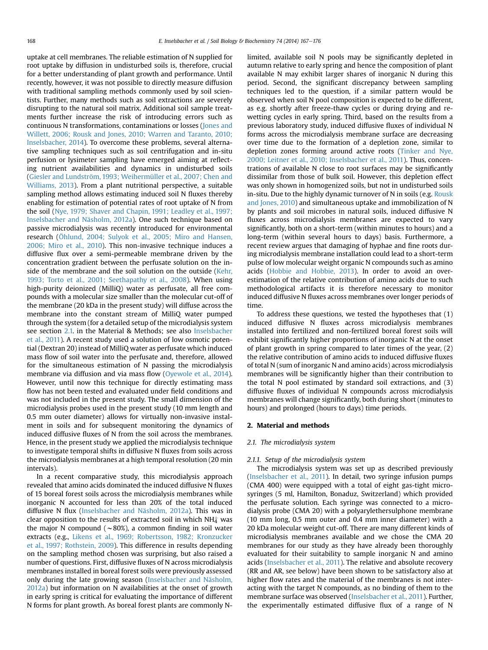uptake at cell membranes. The reliable estimation of N supplied for root uptake by diffusion in undisturbed soils is, therefore, crucial for a better understanding of plant growth and performance. Until recently, however, it was not possible to directly measure diffusion with traditional sampling methods commonly used by soil scientists. Further, many methods such as soil extractions are severely disrupting to the natural soil matrix. Additional soil sample treatments further increase the risk of introducing errors such as continuous N transformations, contaminations or losses ([Jones and](#page-8-0) [Willett, 2006; Rousk and Jones, 2010; Warren and Taranto, 2010;](#page-8-0) [Inselsbacher, 2014](#page-8-0)). To overcome these problems, several alternative sampling techniques such as soil centrifugation and in-situ perfusion or lysimeter sampling have emerged aiming at reflecting nutrient availabilities and dynamics in undisturbed soils ([Giesler and Lundström, 1993; Weihermüller et al., 2007; Chen and](#page-8-0) [Williams, 2013](#page-8-0)). From a plant nutritional perspective, a suitable sampling method allows estimating induced soil N fluxes thereby enabling for estimation of potential rates of root uptake of N from the soil ([Nye, 1979; Shaver and Chapin, 1991; Leadley et al., 1997;](#page-9-0) [Inselsbacher and Näsholm, 2012a\)](#page-9-0). One such technique based on passive microdialysis was recently introduced for environmental research ([Öhlund, 2004; Sulyok et al., 2005; Miro and Hansen,](#page-9-0) [2006; Miro et al., 2010\)](#page-9-0). This non-invasive technique induces a diffusive flux over a semi-permeable membrane driven by the concentration gradient between the perfusate solution on the inside of the membrane and the soil solution on the outside ([Kehr,](#page-8-0) [1993; Torto et al., 2001; Seethapathy et al., 2008\)](#page-8-0). When using high-purity deionized (MilliQ) water as perfusate, all free compounds with a molecular size smaller than the molecular cut-off of the membrane (20 kDa in the present study) will diffuse across the membrane into the constant stream of MilliQ water pumped through the system (for a detailed setup of the microdialysis system see section 2.1. in the Material & Methods; see also [Inselsbacher](#page-8-0) [et al., 2011\)](#page-8-0). A recent study used a solution of low osmotic potential (Dextran 20) instead of MilliQ water as perfusate which induced mass flow of soil water into the perfusate and, therefore, allowed for the simultaneous estimation of N passing the microdialysis membrane via diffusion and via mass flow ([Oyewole et al., 2014\)](#page-9-0). However, until now this technique for directly estimating mass flow has not been tested and evaluated under field conditions and was not included in the present study. The small dimension of the microdialysis probes used in the present study (10 mm length and 0.5 mm outer diameter) allows for virtually non-invasive instalment in soils and for subsequent monitoring the dynamics of induced diffusive fluxes of N from the soil across the membranes. Hence, in the present study we applied the microdialysis technique to investigate temporal shifts in diffusive N fluxes from soils across the microdialysis membranes at a high temporal resolution (20 min intervals).

In a recent comparative study, this microdialysis approach revealed that amino acids dominated the induced diffusive N fluxes of 15 boreal forest soils across the microdialysis membranes while inorganic N accounted for less than 20% of the total induced diffusive N flux ([Inselsbacher and Näsholm, 2012a](#page-8-0)). This was in clear opposition to the results of extracted soil in which NH $_4^+$  was the major N compound ( $\sim$ 80%), a common finding in soil water extracts (e.g., [Likens et al., 1969; Robertsson, 1982; Kronzucker](#page-8-0) [et al., 1997; Rothstein, 2009](#page-8-0)). This difference in results depending on the sampling method chosen was surprising, but also raised a number of questions. First, diffusive fluxes of N across microdialysis membranes installed in boreal forest soils were previously assessed only during the late growing season ([Inselsbacher and Näsholm,](#page-8-0) [2012a](#page-8-0)) but information on N availabilities at the onset of growth in early spring is critical for evaluating the importance of different N forms for plant growth. As boreal forest plants are commonly N- limited, available soil N pools may be significantly depleted in autumn relative to early spring and hence the composition of plant available N may exhibit larger shares of inorganic N during this period. Second, the significant discrepancy between sampling techniques led to the question, if a similar pattern would be observed when soil N pool composition is expected to be different, as e.g. shortly after freeze-thaw cycles or during drying and rewetting cycles in early spring. Third, based on the results from a previous laboratory study, induced diffusive fluxes of individual N forms across the microdialysis membrane surface are decreasing over time due to the formation of a depletion zone, similar to depletion zones forming around active roots ([Tinker and Nye,](#page-9-0) [2000; Leitner et al., 2010; Inselsbacher et al., 2011\)](#page-9-0). Thus, concentrations of available N close to root surfaces may be significantly dissimilar from those of bulk soil. However, this depletion effect was only shown in homogenized soils, but not in undisturbed soils in-situ. Due to the highly dynamic turnover of N in soils (e.g. [Rousk](#page-9-0) [and Jones, 2010](#page-9-0)) and simultaneous uptake and immobilization of N by plants and soil microbes in natural soils, induced diffusive N fluxes across microdialysis membranes are expected to vary significantly, both on a short-term (within minutes to hours) and a long-term (within several hours to days) basis. Furthermore, a recent review argues that damaging of hyphae and fine roots during microdialysis membrane installation could lead to a short-term pulse of low molecular weight organic N compounds such as amino acids [\(Hobbie and Hobbie, 2013\)](#page-8-0). In order to avoid an overestimation of the relative contribution of amino acids due to such methodological artifacts it is therefore necessary to monitor induced diffusive N fluxes across membranes over longer periods of time.

To address these questions, we tested the hypotheses that (1) induced diffusive N fluxes across microdialysis membranes installed into fertilized and non-fertilized boreal forest soils will exhibit significantly higher proportions of inorganic N at the onset of plant growth in spring compared to later times of the year, (2) the relative contribution of amino acids to induced diffusive fluxes of total N (sum of inorganic N and amino acids) across microdialysis membranes will be significantly higher than their contribution to the total N pool estimated by standard soil extractions, and (3) diffusive fluxes of individual N compounds across microdialysis membranes will change significantly, both during short (minutes to hours) and prolonged (hours to days) time periods.

#### 2. Material and methods

### 2.1. The microdialysis system

#### 2.1.1. Setup of the microdialysis system

The microdialysis system was set up as described previously ([Inselsbacher et al., 2011\)](#page-8-0). In detail, two syringe infusion pumps (CMA 400) were equipped with a total of eight gas-tight microsyringes (5 ml, Hamilton, Bonaduz, Switzerland) which provided the perfusate solution. Each syringe was connected to a microdialysis probe (CMA 20) with a polyarylethersulphone membrane (10 mm long, 0.5 mm outer and 0.4 mm inner diameter) with a 20 kDa molecular weight cut-off. There are many different kinds of microdialysis membranes available and we chose the CMA 20 membranes for our study as they have already been thoroughly evaluated for their suitability to sample inorganic N and amino acids [\(Inselsbacher et al., 2011\)](#page-8-0). The relative and absolute recovery (RR and AR, see below) have been shown to be satisfactory also at higher flow rates and the material of the membranes is not interacting with the target N compounds, as no binding of them to the membrane surface was observed ([Inselsbacher et al., 2011\)](#page-8-0). Further, the experimentally estimated diffusive flux of a range of N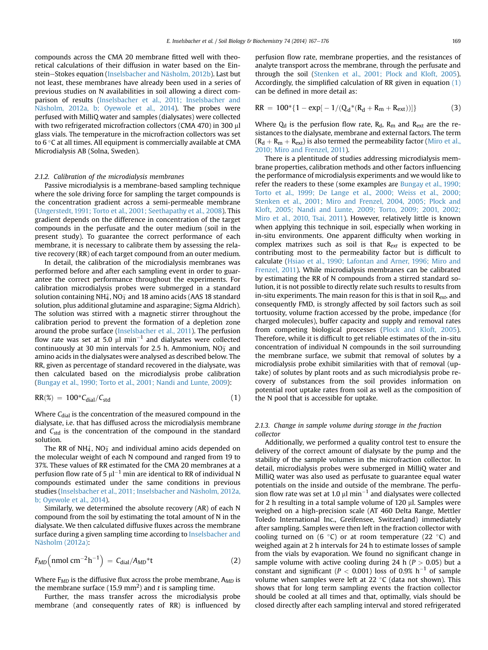compounds across the CMA 20 membrane fitted well with theoretical calculations of their diffusion in water based on the Ein-stein-Stokes equation [\(Inselsbacher and Näsholm, 2012b](#page-8-0)). Last but not least, these membranes have already been used in a series of previous studies on N availabilities in soil allowing a direct comparison of results ([Inselsbacher et al., 2011; Inselsbacher and](#page-8-0) [Näsholm, 2012a, b; Oyewole et al., 2014](#page-8-0)). The probes were perfused with MilliQ water and samples (dialysates) were collected with two refrigerated microfraction collectors (CMA 470) in 300 µl glass vials. The temperature in the microfraction collectors was set to  $6^{\circ}$ C at all times. All equipment is commercially available at CMA Microdialysis AB (Solna, Sweden).

#### 2.1.2. Calibration of the microdialysis membranes

Passive microdialysis is a membrane-based sampling technique where the sole driving force for sampling the target compounds is the concentration gradient across a semi-permeable membrane ([Ungerstedt, 1991; Torto et al., 2001; Seethapathy et al., 2008\)](#page-9-0). This gradient depends on the difference in concentration of the target compounds in the perfusate and the outer medium (soil in the present study). To guarantee the correct performance of each membrane, it is necessary to calibrate them by assessing the relative recovery (RR) of each target compound from an outer medium.

In detail, the calibration of the microdialysis membranes was performed before and after each sampling event in order to guarantee the correct performance throughout the experiments. For calibration microdialysis probes were submerged in a standard solution containing NH $_4^\mathrm{+}$ , NO $_3^\mathrm{-}$  and 18 amino acids (AAS 18 standard solution, plus additional glutamine and asparagine; Sigma Aldrich). The solution was stirred with a magnetic stirrer throughout the calibration period to prevent the formation of a depletion zone around the probe surface ([Inselsbacher et al., 2011\)](#page-8-0). The perfusion flow rate was set at 5.0  $\mu$ l min $^{-1}$  and dialysates were collected continuously at 30 min intervals for 2.5 h. Ammonium, NO $_3^-$  and amino acids in the dialysates were analysed as described below. The RR, given as percentage of standard recovered in the dialysate, was then calculated based on the microdialysis probe calibration ([Bungay et al., 1990; Torto et al., 2001; Nandi and Lunte, 2009](#page-8-0)):

$$
RR(\%) = 100 \, \text{*}C_{\text{dial}} / C_{\text{std}} \tag{1}
$$

Where  $C<sub>dial</sub>$  is the concentration of the measured compound in the dialysate, i.e. that has diffused across the microdialysis membrane and  $C_{std}$  is the concentration of the compound in the standard solution.

The RR of NH $_4^+$ , NO $_3^-$  and individual amino acids depended on the molecular weight of each N compound and ranged from 19 to 37%. These values of RR estimated for the CMA 20 membranes at a perfusion flow rate of 5  $\mu$ l $^{-1}$  min are identical to RR of individual N compounds estimated under the same conditions in previous studies [\(Inselsbacher et al., 2011; Inselsbacher and Näsholm, 2012a,](#page-8-0) [b; Oyewole et al., 2014\)](#page-8-0).

Similarly, we determined the absolute recovery (AR) of each N compound from the soil by estimating the total amount of N in the dialysate. We then calculated diffusive fluxes across the membrane surface during a given sampling time according to [Inselsbacher and](#page-8-0) [Näsholm \(2012a\)](#page-8-0):

$$
F_{MD}\left(nmol\ cm^{-2}h^{-1}\right) = C_{dial}/A_{MD} * t \tag{2}
$$

Where  $F_{MD}$  is the diffusive flux across the probe membrane,  $A_{MD}$  is the membrane surface (15.9 mm<sup>2</sup>) and t is sampling time.

Further, the mass transfer across the microdialysis probe membrane (and consequently rates of RR) is influenced by perfusion flow rate, membrane properties, and the resistances of analyte transport across the membrane, through the perfusate and through the soil ([Stenken et al., 2001; Plock and Kloft, 2005\)](#page-9-0). Accordingly, the simplified calculation of RR given in equation (1) can be defined in more detail as:

$$
RR = 100^{*} \{ 1 - \exp[-1/(Q_{d} * (R_{d} + R_{m} + R_{ext}))] \}
$$
 (3)

Where  $Q_d$  is the perfusion flow rate,  $R_d$ ,  $R_m$  and  $R_{ext}$  are the resistances to the dialysate, membrane and external factors. The term  $(R_d + R_m + R_{ext})$  is also termed the permeability factor [\(Miro et al.,](#page-9-0) [2010; Miro and Frenzel, 2011\)](#page-9-0).

There is a plentitude of studies addressing microdialysis membrane properties, calibration methods and other factors influencing the performance of microdialysis experiments and we would like to refer the readers to these (some examples are [Bungay et al., 1990;](#page-8-0) [Torto et al., 1999; De Lange et al., 2000; Weiss et al., 2000;](#page-8-0) [Stenken et al., 2001; Miro and Frenzel, 2004, 2005; Plock and](#page-8-0) [Kloft, 2005; Nandi and Lunte, 2009; Torto, 2009; 2001, 2002;](#page-8-0) [Miro et al., 2010, Tsai, 2011](#page-8-0)). However, relatively little is known when applying this technique in soil, especially when working in in-situ environments. One apparent difficulty when working in complex matrixes such as soil is that  $R_{ext}$  is expected to be contributing most to the permeability factor but is difficult to calculate ([Hsiao et al., 1990; Lafontan and Arner, 1996; Miro and](#page-8-0) [Frenzel, 2011\)](#page-8-0). While microdialysis membranes can be calibrated by estimating the RR of N compounds from a stirred standard solution, it is not possible to directly relate such results to results from in-situ experiments. The main reason for this is that in soil  $R_{ext}$ , and consequently FMD, is strongly affected by soil factors such as soil tortuosity, volume fraction accessed by the probe, impedance (for charged molecules), buffer capacity and supply and removal rates from competing biological processes ([Plock and Kloft, 2005\)](#page-9-0). Therefore, while it is difficult to get reliable estimates of the in-situ concentration of individual N compounds in the soil surrounding the membrane surface, we submit that removal of solutes by a microdialysis probe exhibit similarities with that of removal (uptake) of solutes by plant roots and as such microdialysis probe recovery of substances from the soil provides information on potential root uptake rates from soil as well as the composition of the N pool that is accessible for uptake.

# 2.1.3. Change in sample volume during storage in the fraction collector

Additionally, we performed a quality control test to ensure the delivery of the correct amount of dialysate by the pump and the stability of the sample volumes in the microfraction collector. In detail, microdialysis probes were submerged in MilliQ water and MilliQ water was also used as perfusate to guarantee equal water potentials on the inside and outside of the membrane. The perfusion flow rate was set at 1.0  $\mu$ l min $^{-1}$  and dialysates were collected for 2 h resulting in a total sample volume of  $120 \mu$ . Samples were weighed on a high-precision scale (AT 460 Delta Range, Mettler Toledo International Inc., Greifensee, Switzerland) immediately after sampling. Samples were then left in the fraction collector with cooling turned on (6  $\degree$ C) or at room temperature (22  $\degree$ C) and weighed again at 2 h intervals for 24 h to estimate losses of sample from the vials by evaporation. We found no significant change in sample volume with active cooling during 24 h ( $P > 0.05$ ) but a constant and significant (P  $<$  0.001) loss of 0.9%  $\rm h^{-1}$  of sample volume when samples were left at  $22 °C$  (data not shown). This shows that for long term sampling events the fraction collector should be cooled at all times and that, optimally, vials should be closed directly after each sampling interval and stored refrigerated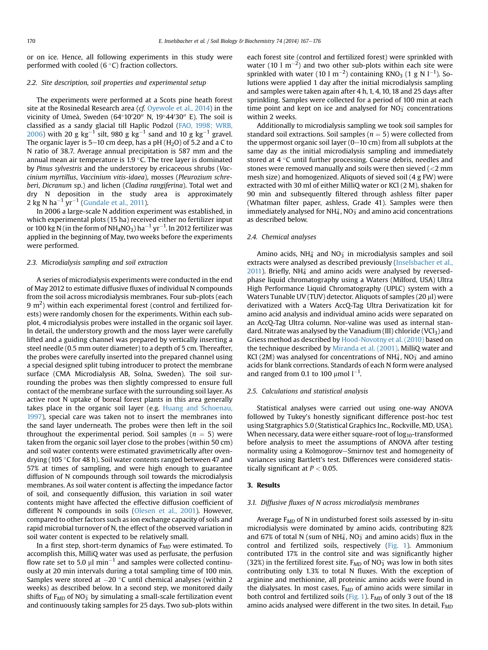or on ice. Hence, all following experiments in this study were performed with cooled  $(6 °C)$  fraction collectors.

## 2.2. Site description, soil properties and experimental setup

The experiments were performed at a Scots pine heath forest site at the Rosinedal Research area (cf. [Oyewole et al., 2014](#page-9-0)) in the vicinity of Umeå, Sweden (64°10′20″ N, 19°44′30″ E). The soil is classified as a sandy glacial till Haplic Podzol [\(FAO, 1998; WRB,](#page-8-0) [2006](#page-8-0)) with 20 g kg $^{-1}$  silt, 980 g kg $^{-1}$  sand and 10 g kg $^{-1}$  gravel. The organic layer is  $5-10$  cm deep, has a pH (H<sub>2</sub>O) of 5.2 and a C to N ratio of 38.7. Average annual precipitation is 587 mm and the annual mean air temperature is  $1.9 \degree C$ . The tree layer is dominated by Pinus sylvestris and the understorey by ericaceous shrubs (Vaccinium myrtillus, Vaccinium vitis-idaea), mosses (Pleurozium schreberi, Dicranum sp.) and lichen (Cladina rangiferina). Total wet and dry N deposition in the study area is approximately  $2 \text{ kg N ha}^{-1} \text{ yr}^{-1}$  ([Gundale et al., 2011](#page-8-0)).

In 2006 a large-scale N addition experiment was established, in which experimental plots (15 ha) received either no fertilizer input or 100 kg N (in the form of NH4NO3) ha $^{-1}\,\rm yr^{-1}$ . In 2012 fertilizer was applied in the beginning of May, two weeks before the experiments were performed.

## 2.3. Microdialysis sampling and soil extraction

A series of microdialysis experiments were conducted in the end of May 2012 to estimate diffusive fluxes of individual N compounds from the soil across microdialysis membranes. Four sub-plots (each 9 m<sup>2</sup>) within each experimental forest (control and fertilized forests) were randomly chosen for the experiments. Within each subplot, 4 microdialysis probes were installed in the organic soil layer. In detail, the understory growth and the moss layer were carefully lifted and a guiding channel was prepared by vertically inserting a steel needle (0.5 mm outer diameter) to a depth of 5 cm. Thereafter, the probes were carefully inserted into the prepared channel using a special designed split tubing introducer to protect the membrane surface (CMA Microdialysis AB, Solna, Sweden). The soil surrounding the probes was then slightly compressed to ensure full contact of the membrane surface with the surrounding soil layer. As active root N uptake of boreal forest plants in this area generally takes place in the organic soil layer (e.g. [Huang and Schoenau,](#page-8-0) [1997](#page-8-0)), special care was taken not to insert the membranes into the sand layer underneath. The probes were then left in the soil throughout the experimental period. Soil samples ( $n = 5$ ) were taken from the organic soil layer close to the probes (within 50 cm) and soil water contents were estimated gravimetrically after ovendrying (105 °C for 48 h). Soil water contents ranged between 47 and 57% at times of sampling, and were high enough to guarantee diffusion of N compounds through soil towards the microdialysis membranes. As soil water content is affecting the impedance factor of soil, and consequently diffusion, this variation in soil water contents might have affected the effective diffusion coefficient of different N compounds in soils [\(Olesen et al., 2001](#page-9-0)). However, compared to other factors such as ion exchange capacity of soils and rapid microbial turnover of N, the effect of the observed variation in soil water content is expected to be relatively small.

In a first step, short-term dynamics of  $F_{MD}$  were estimated. To accomplish this, MilliQ water was used as perfusate, the perfusion flow rate set to 5.0  $\mu$ l min $^{-1}$  and samples were collected continuously at 20 min intervals during a total sampling time of 100 min. Samples were stored at -20 °C until chemical analyses (within 2<br>weeks) as described below In a second step, we monitored daily weeks) as described below. In a second step, we monitored daily shifts of  $\mathtt{F}_{\mathit{MD}}$  of NO $_3^-$  by simulating a small-scale fertilization event and continuously taking samples for 25 days. Two sub-plots within each forest site (control and fertilized forest) were sprinkled with water (10  $1 \text{ m}^{-2}$ ) and two other sub-plots within each site were sprinkled with water (10 l  $\mathrm{m}^{-2}$ ) containing KNO<sub>3</sub> (1 g N l<sup>-1</sup>). Solutions were applied 1 day after the initial microdialysis sampling and samples were taken again after 4 h, 1, 4, 10, 18 and 25 days after sprinkling. Samples were collected for a period of 100 min at each time point and kept on ice and analysed for  $NOS_3$  concentrations within 2 weeks.

Additionally to microdialysis sampling we took soil samples for standard soil extractions. Soil samples ( $n = 5$ ) were collected from the uppermost organic soil layer  $(0-10 \text{ cm})$  from all subplots at the same day as the initial microdialysis sampling and immediately stored at  $4 \degree C$  until further processing. Coarse debris, needles and stones were removed manually and soils were then sieved (<2 mm mesh size) and homogenized. Aliquots of sieved soil (4 g FW) were extracted with 30 ml of either MilliQ water or KCl (2 M), shaken for 90 min and subsequently filtered through ashless filter paper (Whatman filter paper, ashless, Grade 41). Samples were then immediately analysed for NH $_4^\mathrm{+}$ , NO $_3^\mathrm{-}$  and amino acid concentrations as described below.

#### 2.4. Chemical analyses

Amino acids, NH $_4^+$  and NO $_3^-$  in microdialysis samples and soil extracts were analysed as described previously ([Inselsbacher et al.,](#page-8-0)  $2011$ ). Briefly, NH $<sub>4</sub>$  and amino acids were analysed by reversed-</sub> phase liquid chromatography using a Waters (Milford, USA) Ultra High Performance Liquid Chromatography (UPLC) system with a Waters Tunable UV (TUV) detector. Aliquots of samples (20  $\mu$ l) were derivatized with a Waters AccQ-Tag Ultra Derivatization kit for amino acid analysis and individual amino acids were separated on an AccQ-Tag Ultra column. Nor-valine was used as internal standard. Nitrate was analysed by the Vanadium (III) chloride (VCl<sub>3</sub>) and Griess method as described by [Hood-Novotny et al. \(2010\)](#page-8-0) based on the technique described by [Miranda et al. \(2001\)](#page-8-0). MilliQ water and KCl (2M) was analysed for concentrations of NH $_4^{\rm +}$ , NO $_3^{\rm -}$  and amino acids for blank corrections. Standards of each N form were analysed and ranged from 0.1 to 100  $\mu$ mol  $l^{-1}$ .

## 2.5. Calculations and statistical analysis

Statistical analyses were carried out using one-way ANOVA followed by Tukey's honestly significant difference post-hoc test using Statgraphics 5.0 (Statistical Graphics Inc., Rockville, MD, USA). When necessary, data were either square-root of  $log_{10}$ -transformed before analysis to meet the assumptions of ANOVA after testing normality using a Kolmogorov-Smirnov test and homogeneity of variances using Bartlett's test. Differences were considered statistically significant at  $P < 0.05$ .

# 3. Results

#### 3.1. Diffusive fluxes of N across microdialysis membranes

Average  $F<sub>MD</sub>$  of N in undisturbed forest soils assessed by in-situ microdialysis were dominated by amino acids, contributing 82% and 67% of total N (sum of NH $_4^+$ , NO<sub>3</sub> and amino acids) flux in the control and fertilized soils, respectively ([Fig. 1\)](#page-4-0). Ammonium contributed 17% in the control site and was significantly higher (32%) in the fertilized forest site. F<sub>MD</sub> of NO<sub>3</sub> was low in both sites contributing only 1.3% to total N fluxes. With the exception of arginine and methionine, all proteinic amino acids were found in the dialysates. In most cases,  $F_{MD}$  of amino acids were similar in both control and fertilized soils ([Fig. 1](#page-4-0)).  $F_{MD}$  of only 3 out of the 18 amino acids analysed were different in the two sites. In detail,  $F_{MD}$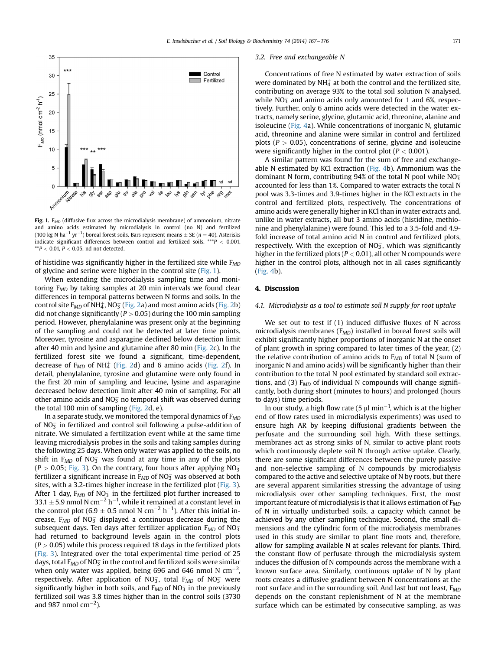<span id="page-4-0"></span>

Fig. 1.  $F_{MD}$  (diffusive flux across the microdialysis membrane) of ammonium, nitrate and amino acids estimated by microdialysis in control (no N) and fertilized (100 kg N ha<sup>-1</sup> yr<sup>-1</sup>) boreal forest soils. Bars represent means  $\pm$  SE ( $n = 40$ ). Asterisks<br>indicate significant differences between control and fertilized soils \*\*\*R < 0.001 indicate significant differences between control and fertilized soils. \*\*\* $P < 0.001$ ,  $*$  $P$  < 0.01,  $P$  < 0.05, nd not detected.

of histidine was significantly higher in the fertilized site while  $F_{MD}$ of glycine and serine were higher in the control site (Fig. 1).

When extending the microdialysis sampling time and monitoring  $F_{MD}$  by taking samples at 20 min intervals we found clear differences in temporal patterns between N forms and soils. In the control site F<sub>MD</sub> of NH $_4^{\rm +}$ , NO $_3^{\rm -}$  ([Fig. 2a](#page-5-0)) and most amino acids [\(Fig. 2b](#page-5-0)) did not change significantly ( $P > 0.05$ ) during the 100 min sampling period. However, phenylalanine was present only at the beginning of the sampling and could not be detected at later time points. Moreover, tyrosine and asparagine declined below detection limit after 40 min and lysine and glutamine after 80 min ([Fig. 2c](#page-5-0)). In the fertilized forest site we found a significant, time-dependent, decrease of  $\text{F}_{MD}$  of NH $_4^+$  ([Fig. 2](#page-5-0)d) and 6 amino acids ([Fig. 2f](#page-5-0)). In detail, phenylalanine, tyrosine and glutamine were only found in the first 20 min of sampling and leucine, lysine and asparagine decreased below detection limit after 40 min of sampling. For all other amino acids and NO $_{\overline{3}}$  no temporal shift was observed during the total 100 min of sampling ([Fig. 2](#page-5-0)d, e).

In a separate study, we monitored the temporal dynamics of  $F_{MD}$ of NO $_3^-$  in fertilized and control soil following a pulse-addition of nitrate. We simulated a fertilization event while at the same time leaving microdialysis probes in the soils and taking samples during the following 25 days. When only water was applied to the soils, no shift in  $F_{MD}$  of  $NO_3^-$  was found at any time in any of the plots (P  $>$  0.05; [Fig. 3\)](#page-6-0). On the contrary, four hours after applying NO<sub>3</sub> fertilizer a significant increase in  $F_{MD}$  of NO $_3^-$  was observed at both sites, with a 3.2-times higher increase in the fertilized plot ([Fig. 3\)](#page-6-0). After 1 day, F<sub>MD</sub> of NO<sub>3</sub> in the fertilized plot further increased to 33.1  $\pm$  5.9 nmol N cm<sup>-2</sup> h<sup>-1</sup>, while it remained at a constant level in<br>the control plot (6.9  $\pm$  0.5 nmol N cm<sup>-2</sup> h<sup>-1</sup>). After this initial in the control plot  $(6.9 \pm 0.5 \text{ mm})$  N cm<sup>-2</sup> h<sup>-1</sup>). After this initial in-<br>crease  $\frac{F_{\text{MS}}}{F_{\text{MS}}}$  of NO<sub>2</sub> displayed a continuous decrease during the crease,  $\texttt{F}_{\texttt{MD}}$  of NO $_3^-$  displayed a continuous decrease during the subsequent days. Ten days after fertilizer application  $\mathtt{F}_{MD}$  of NO $_3^$ had returned to background levels again in the control plots  $(P > 0.05)$  while this process required 18 days in the fertilized plots ([Fig. 3](#page-6-0)). Integrated over the total experimental time period of 25 days, total  $\mathtt{F}_{\mathit{MD}}$  of NO $_3^-$  in the control and fertilized soils were similar when only water was applied, being 696 and 646 nmol N  $\rm cm^{-2}$ , respectively. After application of NO $_3^-$ , total F $_{MD}$  of NO $_3^-$  were significantly higher in both soils, and  $F_{MD}$  of  $NO<sub>3</sub><sup>-</sup>$  in the previously fertilized soil was 3.8 times higher than in the control soils (3730 and 987 nmol  $\text{cm}^{-2}$ ).

## 3.2. Free and exchangeable N

Concentrations of free N estimated by water extraction of soils were dominated by NH $_4^+$  at both the control and the fertilized site, contributing on average 93% to the total soil solution N analysed, while  $NO<sub>3</sub>$  and amino acids only amounted for 1 and 6%, respectively. Further, only 6 amino acids were detected in the water extracts, namely serine, glycine, glutamic acid, threonine, alanine and isoleucine [\(Fig. 4](#page-6-0)a). While concentrations of inorganic N, glutamic acid, threonine and alanine were similar in control and fertilized plots ( $P > 0.05$ ), concentrations of serine, glycine and isoleucine were significantly higher in the control plot ( $P < 0.001$ ).

A similar pattern was found for the sum of free and exchangeable N estimated by KCl extraction ( $Fig. 4b$ ). Ammonium was the dominant N form, contributing 94% of the total N pool while  $NO<sub>3</sub>$ accounted for less than 1%. Compared to water extracts the total N pool was 3.3-times and 3.9-times higher in the KCl extracts in the control and fertilized plots, respectively. The concentrations of amino acids were generally higher in KCl than in water extracts and, unlike in water extracts, all but 3 amino acids (histidine, methionine and phenylalanine) were found. This led to a 3.5-fold and 4.9 fold increase of total amino acid N in control and fertilized plots, respectively. With the exception of  $NO_3^-$ , which was significantly higher in the fertilized plots ( $P < 0.01$ ), all other N compounds were higher in the control plots, although not in all cases significantly ([Fig. 4b](#page-6-0)).

# 4. Discussion

## 4.1. Microdialysis as a tool to estimate soil N supply for root uptake

We set out to test if (1) induced diffusive fluxes of N across microdialysis membranes ( $F_{MD}$ ) installed in boreal forest soils will exhibit significantly higher proportions of inorganic N at the onset of plant growth in spring compared to later times of the year, (2) the relative contribution of amino acids to  $F_{MD}$  of total N (sum of inorganic N and amino acids) will be significantly higher than their contribution to the total N pool estimated by standard soil extractions, and (3)  $F_{MD}$  of individual N compounds will change significantly, both during short (minutes to hours) and prolonged (hours to days) time periods.

In our study, a high flow rate (5  $\mu$ l min<sup>-1</sup>, which is at the higher end of flow rates used in microdialysis experiments) was used to ensure high AR by keeping diffusional gradients between the perfusate and the surrounding soil high. With these settings, membranes act as strong sinks of N, similar to active plant roots which continuously deplete soil N through active uptake. Clearly, there are some significant differences between the purely passive and non-selective sampling of N compounds by microdialysis compared to the active and selective uptake of N by roots, but there are several apparent similarities stressing the advantage of using microdialysis over other sampling techniques. First, the most important feature of microdialysis is that it allows estimation of  $F_{MD}$ of N in virtually undisturbed soils, a capacity which cannot be achieved by any other sampling technique. Second, the small dimensions and the cylindric form of the microdialysis membranes used in this study are similar to plant fine roots and, therefore, allow for sampling available N at scales relevant for plants. Third, the constant flow of perfusate through the microdialysis system induces the diffusion of N compounds across the membrane with a known surface area. Similarly, continuous uptake of N by plant roots creates a diffusive gradient between N concentrations at the root surface and in the surrounding soil. And last but not least,  $F_{MD}$ depends on the constant replenishment of N at the membrane surface which can be estimated by consecutive sampling, as was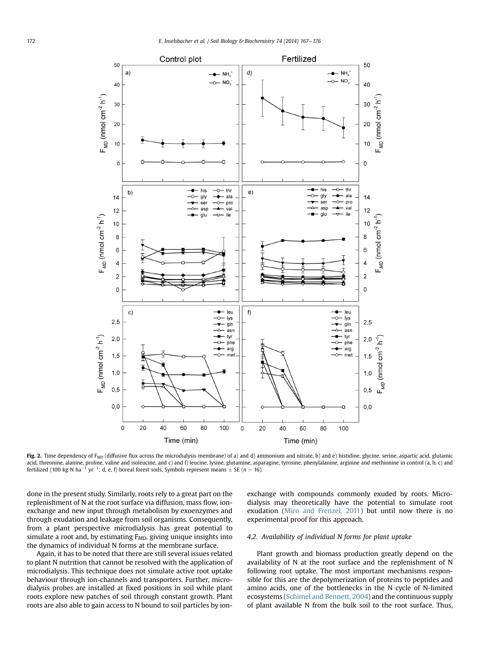<span id="page-5-0"></span>

Fig. 2. Time dependency of  $F_{MD}$  (diffusive flux across the microdialysis membrane) of a) and d) ammonium and nitrate, b) and e) histidine, glycine, serine, aspartic acid, glutamic acid, threonine, alanine, proline, valine and isoleucine, and c) and f) leucine, lysine, glutamine, asparagine, tyrosine, phenylalanine, arginine and methionine in control (a, b, c) and fertilized (100 kg N ha<sup>-1</sup> yr<sup>-1</sup>; d, e, f) boreal forest soils. Symbols represent means  $\pm$  SE (*n* = 16).

done in the present study. Similarly, roots rely to a great part on the replenishment of N at the root surface via diffusion, mass flow, ionexchange and new input through metabolism by exoenzymes and through exudation and leakage from soil organisms. Consequently, from a plant perspective microdialysis has great potential to simulate a root and, by estimating  $F_{MD}$ , giving unique insights into the dynamics of individual N forms at the membrane surface.

Again, it has to be noted that there are still several issues related to plant N nutrition that cannot be resolved with the application of microdialysis. This technique does not simulate active root uptake behaviour through ion-channels and transporters. Further, microdialysis probes are installed at fixed positions in soil while plant roots explore new patches of soil through constant growth. Plant roots are also able to gain access to N bound to soil particles by ionexchange with compounds commonly exuded by roots. Microdialysis may theoretically have the potential to simulate root exudation [\(Miro and Frenzel, 2011\)](#page-9-0) but until now there is no experimental proof for this approach.

## 4.2. Availability of individual N forms for plant uptake

Plant growth and biomass production greatly depend on the availability of N at the root surface and the replenishment of N following root uptake. The most important mechanisms responsible for this are the depolymerization of proteins to peptides and amino acids, one of the bottlenecks in the N cycle of N-limited ecosystems [\(Schimel and Bennett, 2004](#page-9-0)) and the continuous supply of plant available N from the bulk soil to the root surface. Thus,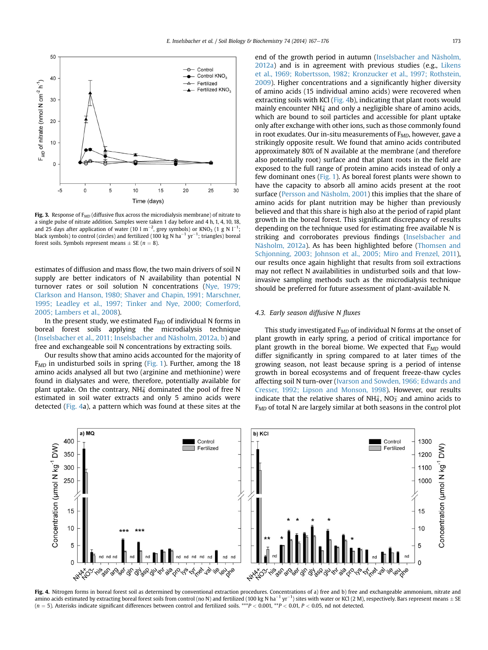<span id="page-6-0"></span>

Fig. 3. Response of  $F_{MD}$  (diffusive flux across the microdialysis membrane) of nitrate to a single pulse of nitrate addition. Samples were taken 1 day before and 4 h, 1, 4, 10, 18, and 25 days after application of water (10 l m $^{-2}$ , grey symbols) or KNO<sub>3</sub> (1 g N l $^{-1}$ ; black symbols) to control (circles) and fertilized (100 kg N ha $^{-1}$  yr $^{-1}$ ; triangles) boreal forest soils. Symbols represent means  $+$  SE ( $n = 8$ ).

estimates of diffusion and mass flow, the two main drivers of soil N supply are better indicators of N availability than potential N turnover rates or soil solution N concentrations ([Nye, 1979;](#page-9-0) [Clarkson and Hanson, 1980; Shaver and Chapin, 1991; Marschner,](#page-9-0) [1995; Leadley et al., 1997; Tinker and Nye, 2000; Comerford,](#page-9-0) [2005; Lambers et al., 2008](#page-9-0)).

In the present study, we estimated  $F_{MD}$  of individual N forms in boreal forest soils applying the microdialysis technique ([Inselsbacher et al., 2011; Inselsbacher and Näsholm, 2012a, b](#page-8-0)) and free and exchangeable soil N concentrations by extracting soils.

Our results show that amino acids accounted for the majority of  $F<sub>MD</sub>$  in undisturbed soils in spring [\(Fig. 1\)](#page-4-0). Further, among the 18 amino acids analysed all but two (arginine and methionine) were found in dialysates and were, therefore, potentially available for plant uptake. On the contrary, NH $_4^+$  dominated the pool of free N estimated in soil water extracts and only 5 amino acids were detected (Fig. 4a), a pattern which was found at these sites at the end of the growth period in autumn ([Inselsbacher and Näsholm,](#page-8-0) [2012a](#page-8-0)) and is in agreement with previous studies (e.g., [Likens](#page-8-0) [et al., 1969; Robertsson, 1982; Kronzucker et al., 1997; Rothstein,](#page-8-0) [2009\)](#page-8-0). Higher concentrations and a significantly higher diversity of amino acids (15 individual amino acids) were recovered when extracting soils with KCl (Fig. 4b), indicating that plant roots would mainly encounter NH $_4^+$  and only a negligible share of amino acids, which are bound to soil particles and accessible for plant uptake only after exchange with other ions, such as those commonly found in root exudates. Our in-situ measurements of  $F_{MD}$ , however, gave a strikingly opposite result. We found that amino acids contributed approximately 80% of N available at the membrane (and therefore also potentially root) surface and that plant roots in the field are exposed to the full range of protein amino acids instead of only a few dominant ones ([Fig. 1](#page-4-0)). As boreal forest plants were shown to have the capacity to absorb all amino acids present at the root surface ([Persson and Näsholm, 2001\)](#page-9-0) this implies that the share of amino acids for plant nutrition may be higher than previously believed and that this share is high also at the period of rapid plant growth in the boreal forest. This significant discrepancy of results depending on the technique used for estimating free available N is striking and corroborates previous findings ([Inselsbacher and](#page-8-0) [Näsholm, 2012a](#page-8-0)). As has been highlighted before [\(Thomsen and](#page-9-0) [Schjonning, 2003; Johnson et al., 2005; Miro and Frenzel, 2011\)](#page-9-0), our results once again highlight that results from soil extractions may not reflect N availabilities in undisturbed soils and that lowinvasive sampling methods such as the microdialysis technique should be preferred for future assessment of plant-available N.

## 4.3. Early season diffusive N fluxes

This study investigated  $F_{MD}$  of individual N forms at the onset of plant growth in early spring, a period of critical importance for plant growth in the boreal biome. We expected that  $F_{MD}$  would differ significantly in spring compared to at later times of the growing season, not least because spring is a period of intense growth in boreal ecosystems and of frequent freeze-thaw cycles affecting soil N turn-over ([Ivarson and Sowden, 1966; Edwards and](#page-8-0) [Cresser, 1992; Lipson and Monson, 1998](#page-8-0)). However, our results indicate that the relative shares of NH $_4^+$ , NO $_3^-$  and amino acids to  $F<sub>MD</sub>$  of total N are largely similar at both seasons in the control plot



Fig. 4. Nitrogen forms in boreal forest soil as determined by conventional extraction procedures. Concentrations of a) free and b) free and exchangeable ammonium, nitrate and amino acids estimated by extracting boreal forest soils from control (no N) and fertilized (100 kg N ha<sup>-1</sup> yr<sup>-1</sup>) sites with water or KCl (2 M), respectively. Bars represent means  $\pm$  SE (n = 5) Actoricles indicate cig  $(n = 5)$ . Asterisks indicate significant differences between control and fertilized soils. \*\*\* $P < 0.001$ , \*\* $P < 0.01$ ,  $P < 0.05$ , nd not detected.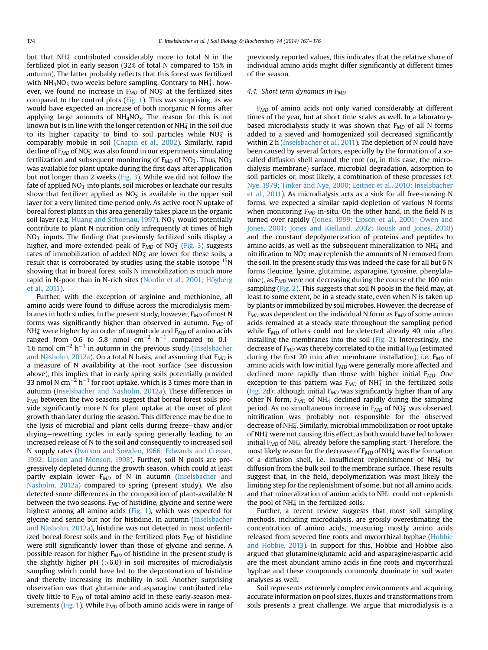but that NH $_4^+$  contributed considerably more to total N in the fertilized plot in early season (32% of total N compared to 15% in autumn). The latter probably reflects that this forest was fertilized with NH<sub>4</sub>NO<sub>3</sub> two weeks before sampling. Contrary to NH $_4^{\scriptscriptstyle +}$ , however, we found no increase in  $\text{F}_{MD}$  of NO $_3^-$  at the fertilized sites compared to the control plots [\(Fig. 1](#page-4-0)). This was surprising, as we would have expected an increase of both inorganic N forms after applying large amounts of  $NH<sub>4</sub>NO<sub>3</sub>$ . The reason for this is not known but is in line with the longer retention of NH $\ddagger$  in the soil due to its higher capacity to bind to soil particles while  $NO_3^-$  is comparably mobile in soil ([Chapin et al., 2002\)](#page-8-0). Similarly, rapid decline of  $\mathtt{F}_{\mathit{MD}}$  of NO $_3^-$  was also found in our experiments simulating fertilization and subsequent monitoring of  $F_{MD}$  of NO<sub>3</sub>. Thus, NO<sub>3</sub> was available for plant uptake during the first days after application but not longer than 2 weeks [\(Fig. 3\)](#page-6-0). While we did not follow the fate of applied NO $_{\overline{3}}$  into plants, soil microbes or leachate our results show that fertilizer applied as NO $_3^-$  is available in the upper soil layer for a very limited time period only. As active root N uptake of boreal forest plants in this area generally takes place in the organic soil layer (e.g. [Huang and Schoenau, 1997](#page-8-0)), NO<sub>3</sub> would potentially contribute to plant N nutrition only infrequently at times of high  $NO<sub>3</sub>$  inputs. The finding that previously fertilized soils display a higher, and more extended peak of  $F_{MD}$  of NO $_3^-$  [\(Fig. 3](#page-6-0)) suggests rates of immobilization of added NO $_3^-$  are lower for these soils, a result that is corroborated by studies using the stable isotope <sup>15</sup>N showing that in boreal forest soils N immobilization is much more rapid in N-poor than in N-rich sites ([Nordin et al., 2001; Högberg](#page-9-0) [et al., 2011](#page-9-0)).

Further, with the exception of arginine and methionine, all amino acids were found to diffuse across the microdialysis membranes in both studies. In the present study, however,  $F_{MD}$  of most N forms was significantly higher than observed in autumn.  $F_{MD}$  of NH $_4^{\scriptscriptstyle\pm}$  were higher by an order of magnitude and  $\texttt{F}_{\texttt{MD}}$  of amino acids ranged from 0.6 to 5.8 nmol  $\rm cm^{-2}$   $\rm h^{-1}$  compared to 0.1– 1.6 nmol  $\text{cm}^{-2} \text{ h}^{-1}$  in autumn in the previous study ([Inselsbacher](#page-8-0) [and Näsholm, 2012a](#page-8-0)). On a total N basis, and assuming that  $F_{MD}$  is a measure of N availability at the root surface (see discussion above), this implies that in early spring soils potentially provided 33 nmol N cm $^{-2}$  h $^{-1}$  for root uptake, which is 3 times more than in autumn ([Inselsbacher and Näsholm, 2012a](#page-8-0)). These differences in F<sub>MD</sub> between the two seasons suggest that boreal forest soils provide significantly more N for plant uptake at the onset of plant growth than later during the season. This difference may be due to the lysis of microbial and plant cells during freeze–thaw and/or drying-rewetting cycles in early spring generally leading to an increased release of N to the soil and consequently to increased soil N supply rates ([Ivarson and Sowden, 1966; Edwards and Cresser,](#page-8-0) [1992; Lipson and Monson, 1998\)](#page-8-0). Further, soil N pools are progressively depleted during the growth season, which could at least partly explain lower  $F_{MD}$  of N in autumn [\(Inselsbacher and](#page-8-0) [Näsholm, 2012a](#page-8-0)) compared to spring (present study). We also detected some differences in the composition of plant-available N between the two seasons.  $F_{MD}$  of histidine, glycine and serine were highest among all amino acids [\(Fig. 1](#page-4-0)), which was expected for glycine and serine but not for histidine. In autumn ([Inselsbacher](#page-8-0) [and Näsholm, 2012a](#page-8-0)), histidine was not detected in most unfertilized boreal forest soils and in the fertilized plots  $F_{MD}$  of histidine were still significantly lower than those of glycine and serine. A possible reason for higher  $F_{MD}$  of histidine in the present study is the slightly higher  $pH$  ( $>6.0$ ) in soil microsites of microdialysis sampling which could have led to the deprotonation of histidine and thereby increasing its mobility in soil. Another surprising observation was that glutamine and asparagine contributed relatively little to  $F_{MD}$  of total amino acid in these early-season mea-surements ([Fig. 1](#page-4-0)). While  $F_{MD}$  of both amino acids were in range of previously reported values, this indicates that the relative share of individual amino acids might differ significantly at different times of the season.

# 4.4. Short term dynamics in  $F<sub>MD</sub>$

 $F<sub>MD</sub>$  of amino acids not only varied considerably at different times of the year, but at short time scales as well. In a laboratorybased microdialysis study it was shown that  $F_{MD}$  of all N forms added to a sieved and homogenized soil decreased significantly within 2 h ([Inselsbacher et al., 2011](#page-8-0)). The depletion of N could have been caused by several factors, especially by the formation of a socalled diffusion shell around the root (or, in this case, the microdialysis membrane) surface, microbial degradation, adsorption to soil particles or, most likely, a combination of these processes (cf. [Nye, 1979; Tinker and Nye, 2000; Leitner et al., 2010; Inselsbacher](#page-9-0) [et al., 2011\)](#page-9-0). As microdialysis acts as a sink for all free-moving N forms, we expected a similar rapid depletion of various N forms when monitoring  $F_{MD}$  in-situ. On the other hand, in the field N is turned over rapidly [\(Jones, 1999; Lipson et al., 2001; Owen and](#page-8-0) [Jones, 2001; Jones and Kielland, 2002; Rousk and Jones, 2010\)](#page-8-0) and the constant depolymerization of proteins and peptides to amino acids, as well as the subsequent mineralization to NH $_4^+$  and nitrification to  $NO_3^-$  may replenish the amounts of N removed from the soil. In the present study this was indeed the case for all but 6 N forms (leucine, lysine, glutamine, asparagine, tyrosine, phenylalanine), as  $F_{MD}$  were not decreasing during the course of the 100 min sampling ([Fig. 2](#page-5-0)). This suggests that soil N pools in the field may, at least to some extent, be in a steady state, even when N is taken up by plants or immobilized by soil microbes. However, the decrease of  $F_{MD}$  was dependent on the individual N form as  $F_{MD}$  of some amino acids remained at a steady state throughout the sampling period while  $F<sub>MD</sub>$  of others could not be detected already 40 min after installing the membranes into the soil [\(Fig. 2](#page-5-0)). Interestingly, the decrease of  $F_{MD}$  was thereby correlated to the initial  $F_{MD}$  (estimated during the first 20 min after membrane installation), i.e.  $F_{MD}$  of amino acids with low initial  $F_{MD}$  were generally more affected and declined more rapidly than those with higher initial  $F_{MD}$ . One exception to this pattern was  $F_{MD}$  of NH $_4^+$  in the fertilized soils ([Fig. 2](#page-5-0)d); although initial  $F_{MD}$  was significantly higher than of any other N form,  $F_{MD}$  of NH $_4^+$  declined rapidly during the sampling period. As no simultaneous increase in  $F_{MD}$  of NO<sub>3</sub> was observed, nitrification was probably not responsible for the observed decrease of NH $\ddagger$ . Similarly, microbial immobilization or root uptake of NH $_4^{\scriptscriptstyle\pm}$  were not causing this effect, as both would have led to lower initial F $_{MD}$  of NH $_4^+$  already before the sampling start. Therefore, the most likely reason for the decrease of  $\mathtt{F}_{MD}$  of NH $_4^+$  was the formation of a diffusion shell, i.e. insufficient replenishment of  $NH<sub>4</sub><sup>+</sup>$  by diffusion from the bulk soil to the membrane surface. These results suggest that, in the field, depolymerization was most likely the limiting step for the replenishment of some, but not all amino acids, and that mineralization of amino acids to NH $_4^+$  could not replenish the pool of NH $_4^+$  in the fertilized soils.

Further, a recent review suggests that most soil sampling methods, including microdialysis, are grossly overestimating the concentration of amino acids, measuring mostly amino acids released from severed fine roots and mycorrhizal hyphae ([Hobbie](#page-8-0) [and Hobbie, 2013\)](#page-8-0). In support for this, Hobbie and Hobbie also argued that glutamine/glutamic acid and asparagine/aspartic acid are the most abundant amino acids in fine roots and mycorrhizal hyphae and these compounds commonly dominate in soil water analyses as well.

Soil represents extremely complex environments and acquiring accurate information on pool sizes, fluxes and transformations from soils presents a great challenge. We argue that microdialysis is a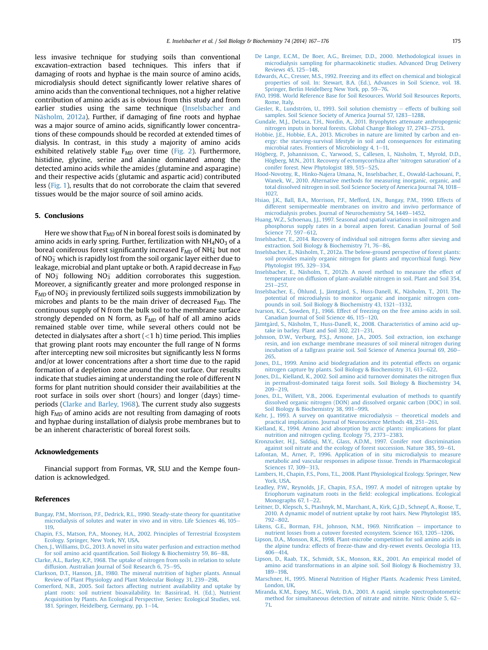<span id="page-8-0"></span>less invasive technique for studying soils than conventional excavation-extraction based techniques. This infers that if damaging of roots and hyphae is the main source of amino acids, microdialysis should detect significantly lower relative shares of amino acids than the conventional techniques, not a higher relative contribution of amino acids as is obvious from this study and from earlier studies using the same technique (Inselsbacher and Näsholm, 2012a). Further, if damaging of fine roots and hyphae was a major source of amino acids, significantly lower concentrations of these compounds should be recorded at extended times of dialysis. In contrast, in this study a majority of amino acids exhibited relatively stable  $F_{MD}$  over time [\(Fig. 2\)](#page-5-0). Furthermore, histidine, glycine, serine and alanine dominated among the detected amino acids while the amides (glutamine and asparagine) and their respective acids (glutamic and aspartic acid) contributed less [\(Fig. 1\)](#page-4-0), results that do not corroborate the claim that severed tissues would be the major source of soil amino acids.

## 5. Conclusions

Here we show that  $F_{MD}$  of N in boreal forest soils is dominated by amino acids in early spring. Further, fertilization with  $NH<sub>4</sub>NO<sub>3</sub>$  of a boreal coniferous forest significantly increased  $\rm \mathit{F}_{MD}$  of NH $^{+}_{4}$  but not of NO $_{\overline{3}}$  which is rapidly lost from the soil organic layer either due to leakage, microbial and plant uptake or both. A rapid decrease in  $F_{MD}$ of NO $_3^-$  following NO $_3^-$  addition corroborates this suggestion. Moreover, a significantly greater and more prolonged response in  $\rm \epsilon_{MD}$  of NO $_{3}^{-}$  in previously fertilized soils suggests immobilization by microbes and plants to be the main driver of decreased  $F_{MD}$ . The continuous supply of N from the bulk soil to the membrane surface strongly depended on N form, as  $F_{MD}$  of half of all amino acids remained stable over time, while several others could not be detected in dialysates after a short  $(<1 h)$  time period. This implies that growing plant roots may encounter the full range of N forms after intercepting new soil microsites but significantly less N forms and/or at lower concentrations after a short time due to the rapid formation of a depletion zone around the root surface. Our results indicate that studies aiming at understanding the role of different N forms for plant nutrition should consider their availabilities at the root surface in soils over short (hours) and longer (days) timeperiods (Clarke and Barley, 1968). The current study also suggests high  $F_{MD}$  of amino acids are not resulting from damaging of roots and hyphae during installation of dialysis probe membranes but to be an inherent characteristic of boreal forest soils.

### Acknowledgements

Financial support from Formas, VR, SLU and the Kempe foundation is acknowledged.

#### References

- [Bungay, P.M., Morrison, P.F., Dedrick, R.L., 1990. Steady-state theory for quantitative](http://refhub.elsevier.com/S0038-0717(14)00101-1/sref1) [microdialysis of solutes and water in vivo and in vitro. Life Sciences 46, 105](http://refhub.elsevier.com/S0038-0717(14)00101-1/sref1)– [119.](http://refhub.elsevier.com/S0038-0717(14)00101-1/sref1)
- [Chapin, F.S., Matson, P.A., Mooney, H.A., 2002. Principles of Terrestrial Ecosystem](http://refhub.elsevier.com/S0038-0717(14)00101-1/sref3) [Ecology. Springer, New York, NY, USA](http://refhub.elsevier.com/S0038-0717(14)00101-1/sref3).
- [Chen, J., Williams, D.G., 2013. A novel in situ water perfusion and extraction method](http://refhub.elsevier.com/S0038-0717(14)00101-1/sref4) for soil amino acid quantifi[cation. Soil Biology & Biochemistry 59, 86](http://refhub.elsevier.com/S0038-0717(14)00101-1/sref4)-[88.](http://refhub.elsevier.com/S0038-0717(14)00101-1/sref4)
- [Clarke, A.L., Barley, K.P., 1968. The uptake of nitrogen from soils in relation to solute](http://refhub.elsevier.com/S0038-0717(14)00101-1/sref5) [diffusion. Australian Journal of Soil Research 6, 75](http://refhub.elsevier.com/S0038-0717(14)00101-1/sref5)-[95.](http://refhub.elsevier.com/S0038-0717(14)00101-1/sref5)
- [Clarkson, D.T., Hanson, J.B., 1980. The mineral nutrition of higher plants. Annual](http://refhub.elsevier.com/S0038-0717(14)00101-1/sref6) [Review of Plant Physiology and Plant Molecular Biology 31, 239](http://refhub.elsevier.com/S0038-0717(14)00101-1/sref6)-[298](http://refhub.elsevier.com/S0038-0717(14)00101-1/sref6).
- [Comerford, N.B., 2005. Soil factors affecting nutrient availability and uptake by](http://refhub.elsevier.com/S0038-0717(14)00101-1/sref7) [plant roots: soil nutrient bioavailability. In: Bassirirad, H. \(Ed.\), Nutrient](http://refhub.elsevier.com/S0038-0717(14)00101-1/sref7) [Acquisition by Plants. An Ecological Perspective, Series: Ecological Studies, vol.](http://refhub.elsevier.com/S0038-0717(14)00101-1/sref7) [181. Springer, Heidelberg, Germany, pp. 1](http://refhub.elsevier.com/S0038-0717(14)00101-1/sref7)-[14.](http://refhub.elsevier.com/S0038-0717(14)00101-1/sref7)
- [De Lange, E.C.M., De Boer, A.G., Breimer, D.D., 2000. Methodological issues in](http://refhub.elsevier.com/S0038-0717(14)00101-1/sref8) [microdialysis sampling for pharmacokinetic studies. Advanced Drug Delivery](http://refhub.elsevier.com/S0038-0717(14)00101-1/sref8) [Reviews 45, 125](http://refhub.elsevier.com/S0038-0717(14)00101-1/sref8)-[148](http://refhub.elsevier.com/S0038-0717(14)00101-1/sref8).
- [Edwards, A.C., Cresser, M.S., 1992. Freezing and its effect on chemical and biological](http://refhub.elsevier.com/S0038-0717(14)00101-1/sref9) [properties of soil. In: Stewart, B.A. \(Ed.\), Advances in Soil Science, vol. 18.](http://refhub.elsevier.com/S0038-0717(14)00101-1/sref9) [Springer, Berlin Heidelberg New York, pp. 59](http://refhub.elsevier.com/S0038-0717(14)00101-1/sref9)–[76.](http://refhub.elsevier.com/S0038-0717(14)00101-1/sref9)
- [FAO, 1998. World Reference Base for Soil Resources. World Soil Resources Reports,](http://refhub.elsevier.com/S0038-0717(14)00101-1/sref11) [Rome, Italy.](http://refhub.elsevier.com/S0038-0717(14)00101-1/sref11)
- [Giesler, R., Lundström, U., 1993. Soil solution chemistry](http://refhub.elsevier.com/S0038-0717(14)00101-1/sref12)  $-$  [effects of bulking soil](http://refhub.elsevier.com/S0038-0717(14)00101-1/sref12) [samples. Soil Science Society of America Journal 57, 1283](http://refhub.elsevier.com/S0038-0717(14)00101-1/sref12)-[1288](http://refhub.elsevier.com/S0038-0717(14)00101-1/sref12).
- [Gundale, M.J., DeLuca, T.H., Nordin, A., 2011. Bryophytes attenuate anthropogenic](http://refhub.elsevier.com/S0038-0717(14)00101-1/sref13) [nitrogen inputs in boreal forests. Global Change Biology 17, 2743](http://refhub.elsevier.com/S0038-0717(14)00101-1/sref13)–[2753](http://refhub.elsevier.com/S0038-0717(14)00101-1/sref13).
- [Hobbie, J.E., Hobbie, E.A., 2013. Microbes in nature are limited by carbon and en](http://refhub.elsevier.com/S0038-0717(14)00101-1/sref15)[ergy: the starving-survival lifestyle in soil and consequences for estimating](http://refhub.elsevier.com/S0038-0717(14)00101-1/sref15) microbial rates. Frontiers of Microbiology 4,  $1-11$ .
- [Högberg, P., Johannisson, C., Yarwood, S., Callesen, I., Näsholm, T., Myrold, D.D.,](http://refhub.elsevier.com/S0038-0717(14)00101-1/sref16) [Högberg, M.N., 2011. Recovery of ectomycorrhiza after](http://refhub.elsevier.com/S0038-0717(14)00101-1/sref16) 'nitrogen saturation' of a [conifer forest. New Phytologist 189, 515](http://refhub.elsevier.com/S0038-0717(14)00101-1/sref16)-[525](http://refhub.elsevier.com/S0038-0717(14)00101-1/sref16).
- [Hood-Novotny, R., Hinko-Najera Umana, N., Inselsbacher, E., Oswald-Lachouani, P.,](http://refhub.elsevier.com/S0038-0717(14)00101-1/sref17) [Wanek, W., 2010. Alternative methods for measuring inorganic, organic, and](http://refhub.elsevier.com/S0038-0717(14)00101-1/sref17) [total dissolved nitrogen in soil. Soil Science Society of America Journal 74, 1018](http://refhub.elsevier.com/S0038-0717(14)00101-1/sref17)-[1027.](http://refhub.elsevier.com/S0038-0717(14)00101-1/sref17)
- [Hsiao, J.K., Ball, B.A., Morrison, P.F., Mefford, I.N., Bungay, P.M., 1990. Effects of](http://refhub.elsevier.com/S0038-0717(14)00101-1/sref18) [different semipermeable membranes on invitro and invivo performance of](http://refhub.elsevier.com/S0038-0717(14)00101-1/sref18) [microdialysis probes. Journal of Neurochemistry 54, 1449](http://refhub.elsevier.com/S0038-0717(14)00101-1/sref18)-[1452.](http://refhub.elsevier.com/S0038-0717(14)00101-1/sref18)
- [Huang, W.Z., Schoenau, J.J., 1997. Seasonal and spatial variations in soil nitrogen and](http://refhub.elsevier.com/S0038-0717(14)00101-1/sref19) [phosphorus supply rates in a boreal aspen forest. Canadian Journal of Soil](http://refhub.elsevier.com/S0038-0717(14)00101-1/sref19) [Science 77, 597](http://refhub.elsevier.com/S0038-0717(14)00101-1/sref19)–[612.](http://refhub.elsevier.com/S0038-0717(14)00101-1/sref19)
- [Inselsbacher, E., 2014. Recovery of individual soil nitrogen forms after sieving and](http://refhub.elsevier.com/S0038-0717(14)00101-1/sref20) [extraction. Soil Biology & Biochemistry 71, 76](http://refhub.elsevier.com/S0038-0717(14)00101-1/sref20)-[86.](http://refhub.elsevier.com/S0038-0717(14)00101-1/sref20)
- [Inselsbacher, E., Näsholm, T., 2012a. The below-ground perspective of forest plants:](http://refhub.elsevier.com/S0038-0717(14)00101-1/sref21) [soil provides mainly organic nitrogen for plants and mycorrhizal fungi. New](http://refhub.elsevier.com/S0038-0717(14)00101-1/sref21) [Phytologist 195, 329](http://refhub.elsevier.com/S0038-0717(14)00101-1/sref21)-[334.](http://refhub.elsevier.com/S0038-0717(14)00101-1/sref21)
- [Inselsbacher, E., Näsholm, T., 2012b. A novel method to measure the effect of](http://refhub.elsevier.com/S0038-0717(14)00101-1/sref22) [temperature on diffusion of plant-available nitrogen in soil. Plant and Soil 354,](http://refhub.elsevier.com/S0038-0717(14)00101-1/sref22)  $251 - 257$  $251 - 257$ .
- [Inselsbacher, E., Öhlund, J., Jämtgård, S., Huss-Danell, K., Näsholm, T., 2011. The](http://refhub.elsevier.com/S0038-0717(14)00101-1/sref23) [potential of microdialysis to monitor organic and inorganic nitrogen com](http://refhub.elsevier.com/S0038-0717(14)00101-1/sref23)[pounds in soil. Soil Biology & Biochemistry 43, 1321](http://refhub.elsevier.com/S0038-0717(14)00101-1/sref23)-[1332](http://refhub.elsevier.com/S0038-0717(14)00101-1/sref23).
- [Ivarson, K.C., Sowden, F.J., 1966. Effect of freezing on the free amino acids in soil.](http://refhub.elsevier.com/S0038-0717(14)00101-1/sref24) [Canadian Journal of Soil Science 46, 115](http://refhub.elsevier.com/S0038-0717(14)00101-1/sref24)-[120](http://refhub.elsevier.com/S0038-0717(14)00101-1/sref24).
- [Jämtgård, S., Näsholm, T., Huss-Danell, K., 2008. Characteristics of amino acid up](http://refhub.elsevier.com/S0038-0717(14)00101-1/sref25)take in barley. Plant and Soil 302,  $221-231$ .
- [Johnson, D.W., Verburg, P.S.J., Arnone, J.A., 2005. Soil extraction, ion exchange](http://refhub.elsevier.com/S0038-0717(14)00101-1/sref27) [resin, and ion exchange membrane measures of soil mineral nitrogen during](http://refhub.elsevier.com/S0038-0717(14)00101-1/sref27) [incubation of a tallgrass prairie soil. Soil Science of America Journal 69, 260](http://refhub.elsevier.com/S0038-0717(14)00101-1/sref27)-[265.](http://refhub.elsevier.com/S0038-0717(14)00101-1/sref27)
- [Jones, D.L., 1999. Amino acid biodegradation and its potential effects on organic](http://refhub.elsevier.com/S0038-0717(14)00101-1/sref28) [nitrogen capture by plants. Soil Biology & Biochemistry 31, 613](http://refhub.elsevier.com/S0038-0717(14)00101-1/sref28)-[622](http://refhub.elsevier.com/S0038-0717(14)00101-1/sref28).
- [Jones, D.L., Kielland, K., 2002. Soil amino acid turnover dominates the nitrogen](http://refhub.elsevier.com/S0038-0717(14)00101-1/sref29) flux [in permafrost-dominated taiga forest soils. Soil Biology & Biochemistry 34,](http://refhub.elsevier.com/S0038-0717(14)00101-1/sref29)  $209 - 219.$  $209 - 219.$  $209 - 219.$
- [Jones, D.L., Willett, V.B., 2006. Experimental evaluation of methods to quantify](http://refhub.elsevier.com/S0038-0717(14)00101-1/sref30) [dissolved organic nitrogen \(DON\) and dissolved organic carbon \(DOC\) in soil.](http://refhub.elsevier.com/S0038-0717(14)00101-1/sref30) [Soil Biology & Biochemistry 38, 991](http://refhub.elsevier.com/S0038-0717(14)00101-1/sref30)-[999.](http://refhub.elsevier.com/S0038-0717(14)00101-1/sref30)
- [Kehr, J., 1993. A survey on quantitative microdialysis](http://refhub.elsevier.com/S0038-0717(14)00101-1/sref31)  $-$  [theoretical models and](http://refhub.elsevier.com/S0038-0717(14)00101-1/sref31) [practical implications. Journal of Neuroscience Methods 48, 251](http://refhub.elsevier.com/S0038-0717(14)00101-1/sref31)-[261.](http://refhub.elsevier.com/S0038-0717(14)00101-1/sref31)
- [Kielland, K., 1994. Amino acid absorption by arctic plants: implications for plant](http://refhub.elsevier.com/S0038-0717(14)00101-1/sref32) [nutrition and nitrogen cycling. Ecology 75, 2373](http://refhub.elsevier.com/S0038-0717(14)00101-1/sref32)-[2383.](http://refhub.elsevier.com/S0038-0717(14)00101-1/sref32)
- [Kronzucker, H.J., Siddiqi, M.Y., Glass, A.D.M., 1997. Conifer root discrimination](http://refhub.elsevier.com/S0038-0717(14)00101-1/sref33) [against soil nitrate and the ecology of forest succession. Nature 385, 59](http://refhub.elsevier.com/S0038-0717(14)00101-1/sref33)-[61.](http://refhub.elsevier.com/S0038-0717(14)00101-1/sref33)
- [Lafontan, M., Arner, P., 1996. Application of in situ microdialysis to measure](http://refhub.elsevier.com/S0038-0717(14)00101-1/sref34) [metabolic and vascular responses in adipose tissue. Trends in Pharmacological](http://refhub.elsevier.com/S0038-0717(14)00101-1/sref34) [Sciences 17, 309](http://refhub.elsevier.com/S0038-0717(14)00101-1/sref34)-[313](http://refhub.elsevier.com/S0038-0717(14)00101-1/sref34).
- [Lambers, H., Chapin, F.S., Pons, T.L., 2008. Plant Physiological Ecology. Springer, New](http://refhub.elsevier.com/S0038-0717(14)00101-1/sref35) [York, USA](http://refhub.elsevier.com/S0038-0717(14)00101-1/sref35).
- [Leadley, P.W., Reynolds, J.F., Chapin, F.S.A., 1997. A model of nitrogen uptake by](http://refhub.elsevier.com/S0038-0717(14)00101-1/sref36) Eriophorum vaginatum roots in the fi[eld: ecological implications. Ecological](http://refhub.elsevier.com/S0038-0717(14)00101-1/sref36) Monographs 67,  $1-22$ .
- [Leitner, D., Klepsch, S., Ptashnyk, M., Marchant, A., Kirk, G.J.D., Schnepf, A., Roose, T.,](http://refhub.elsevier.com/S0038-0717(14)00101-1/sref37) [2010. A dynamic model of nutrient uptake by root hairs. New Phytologist 185,](http://refhub.elsevier.com/S0038-0717(14)00101-1/sref37)  $792 - 802$  $792 - 802$  $792 - 802$
- [Likens, G.E., Borman, F.H., Johnson, N.M., 1969. Nitri](http://refhub.elsevier.com/S0038-0717(14)00101-1/sref38)fication  $-$  [importance to](http://refhub.elsevier.com/S0038-0717(14)00101-1/sref38) [nutrient losses from a cutover forested ecosystem. Science 163, 1205](http://refhub.elsevier.com/S0038-0717(14)00101-1/sref38)-[1206](http://refhub.elsevier.com/S0038-0717(14)00101-1/sref38).
- [Lipson, D.A., Monson, R.K., 1998. Plant-microbe competition for soil amino acids in](http://refhub.elsevier.com/S0038-0717(14)00101-1/sref39) [the alpine tundra: effects of freeze-thaw and dry-rewet events. Oecologia 113,](http://refhub.elsevier.com/S0038-0717(14)00101-1/sref39)  $406 - 414$  $406 - 414$ .
- [Lipson, D., Raab, T.K., Schmidt, S.K., Monson, R.K., 2001. An empirical model of](http://refhub.elsevier.com/S0038-0717(14)00101-1/sref40) [amino acid transformations in an alpine soil. Soil Biology & Biochemistry 33,](http://refhub.elsevier.com/S0038-0717(14)00101-1/sref40) [189](http://refhub.elsevier.com/S0038-0717(14)00101-1/sref40)-[198](http://refhub.elsevier.com/S0038-0717(14)00101-1/sref40).
- [Marschner, H., 1995. Mineral Nutrition of Higher Plants. Academic Press Limited,](http://refhub.elsevier.com/S0038-0717(14)00101-1/sref42) [London, UK.](http://refhub.elsevier.com/S0038-0717(14)00101-1/sref42)
- [Miranda, K.M., Espey, M.G., Wink, D.A., 2001. A rapid, simple spectrophotometric](http://refhub.elsevier.com/S0038-0717(14)00101-1/sref43) [method for simultaneous detection of nitrate and nitrite. Nitric Oxide 5, 62](http://refhub.elsevier.com/S0038-0717(14)00101-1/sref43)– [71.](http://refhub.elsevier.com/S0038-0717(14)00101-1/sref43)